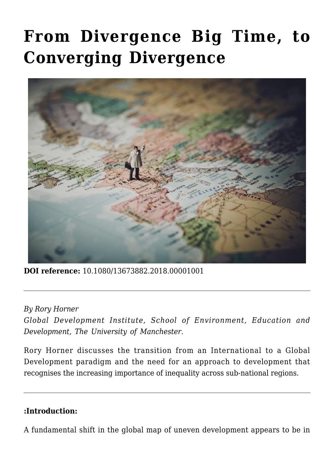# **[From Divergence Big Time, to](https://regions.regionalstudies.org/ezine/article/from-divergence-big-time-to-converging-divergence/?doi=10.1080/13673882.2018.00001001) [Converging Divergence](https://regions.regionalstudies.org/ezine/article/from-divergence-big-time-to-converging-divergence/?doi=10.1080/13673882.2018.00001001)**



**DOI reference:** 10.1080/13673882.2018.00001001

*By [Rory Horner](https://www.research.manchester.ac.uk/portal/rory.horner.html)*

*Global Development Institute, School of Environment, Education and Development, The University of Manchester.* 

Rory Horner discusses the transition from an International to a Global Development paradigm and the need for an approach to development that recognises the increasing importance of inequality across sub-national regions.

#### **:Introduction:**

A fundamental shift in the global map of uneven development appears to be in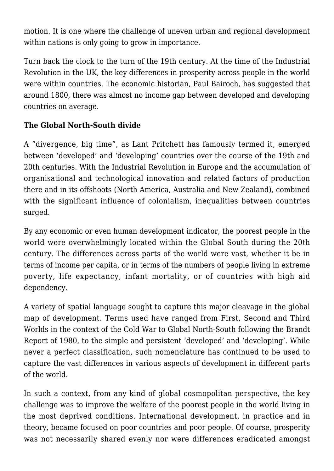motion. It is one where the challenge of uneven urban and regional development within nations is only going to grow in importance.

Turn back the clock to the turn of the 19th century. At the time of the Industrial Revolution in the UK, the key differences in prosperity across people in the world were within countries. The economic historian, Paul Bairoch, has suggested that around 1800, there was almost no income gap between developed and developing countries on average.

## **The Global North-South divide**

A "divergence, big time", as Lant Pritchett has famously termed it, emerged between 'developed' and 'developing' countries over the course of the 19th and 20th centuries. With the Industrial Revolution in Europe and the accumulation of organisational and technological innovation and related factors of production there and in its offshoots (North America, Australia and New Zealand), combined with the significant influence of colonialism, inequalities between countries surged.

By any economic or even human development indicator, the poorest people in the world were overwhelmingly located within the Global South during the 20th century. The differences across parts of the world were vast, whether it be in terms of income per capita, or in terms of the numbers of people living in extreme poverty, life expectancy, infant mortality, or of countries with high aid dependency.

A variety of spatial language sought to capture this major cleavage in the global map of development. Terms used have ranged from First, Second and Third Worlds in the context of the Cold War to Global North-South following the [Brandt](http://www.brandt21forum.info/BrandtEquation-19Sept04.pdf) [Report of 1980,](http://www.brandt21forum.info/BrandtEquation-19Sept04.pdf) to the simple and persistent 'developed' and 'developing'. While never a perfect classification, such nomenclature has continued to be used to capture the vast differences in various aspects of development in different parts of the world.

In such a context, from any kind of global cosmopolitan perspective, the key challenge was to improve the welfare of the poorest people in the world living in the most deprived conditions. International development, in practice and in theory, became focused on poor countries and poor people. Of course, prosperity was not necessarily shared evenly nor were differences eradicated amongst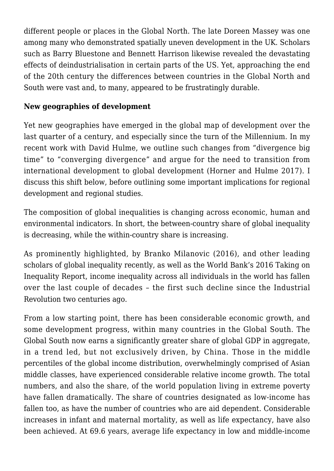different people or places in the Global North. The late Doreen Massey was one among many who demonstrated spatially uneven development in the UK. Scholars such as Barry Bluestone and Bennett Harrison likewise revealed the devastating effects of deindustrialisation in certain parts of the US. Yet, approaching the end of the 20th century the differences between countries in the Global North and South were vast and, to many, appeared to be frustratingly durable.

### **New geographies of development**

Yet new geographies have emerged in the global map of development over the last quarter of a century, and especially since the turn of the Millennium. In my recent work with David Hulme, we outline such changes from "divergence big time" to "converging divergence" and argue for the need to transition from international development to global development ([Horner and Hulme 2017\)](https://doi.org/10.1111/dech.12379). I discuss this shift below, before outlining some important implications for regional development and regional studies.

The composition of global inequalities is changing across economic, human and environmental indicators. In short, the between-country share of global inequality is decreasing, while the within-country share is increasing.

As prominently highlighted, by Branko Milanovic (2016), and other leading scholars of global inequality recently, as well as the World Bank's 2016 [Taking on](http://www.worldbank.org/en/publication/poverty-and-shared-prosperity) [Inequality Report](http://www.worldbank.org/en/publication/poverty-and-shared-prosperity), income inequality across all individuals in the world has fallen over the last couple of decades – the first such decline since the Industrial Revolution two centuries ago.

From a low starting point, there has been considerable economic growth, and some development progress, within many countries in the Global South. The Global South now earns a significantly greater share of global GDP in aggregate, in a trend led, but not exclusively driven, by China. Those in the middle percentiles of the global income distribution, overwhelmingly comprised of Asian middle classes, have experienced considerable relative income growth. The total numbers, and also the share, of the world population living in extreme poverty have fallen dramatically. The share of countries designated as low-income has fallen too, as have the number of countries who are aid dependent. Considerable increases in infant and maternal mortality, as well as life expectancy, have also been achieved. At 69.6 years, average life expectancy in low and middle-income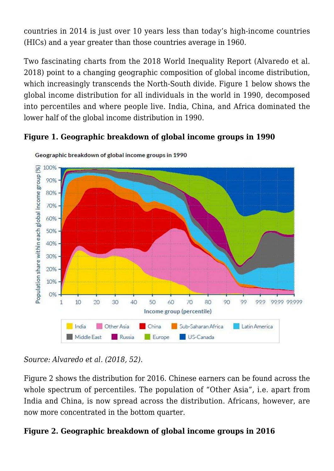countries in 2014 is just over 10 years less than today's high-income countries (HICs) and a year greater than those countries average in 1960.

Two fascinating charts from the 2018 World Inequality Report ([Alvaredo et al.](http://wir2018.wid.world/files/download/wir2018-summary-english.pdf) [2018\)](http://wir2018.wid.world/files/download/wir2018-summary-english.pdf) point to a changing geographic composition of global income distribution, which increasingly transcends the North-South divide. Figure 1 below shows the global income distribution for all individuals in the world in 1990, decomposed into percentiles and where people live. India, China, and Africa dominated the lower half of the global income distribution in 1990.

### **Figure 1. Geographic breakdown of global income groups in 1990**



Geographic breakdown of global income groups in 1990

*Source: Alvaredo et al. (2018, 52)*.

Figure 2 shows the distribution for 2016. Chinese earners can be found across the whole spectrum of percentiles. The population of "Other Asia", i.e. apart from India and China, is now spread across the distribution. Africans, however, are now more concentrated in the bottom quarter.

#### **Figure 2. Geographic breakdown of global income groups in 2016**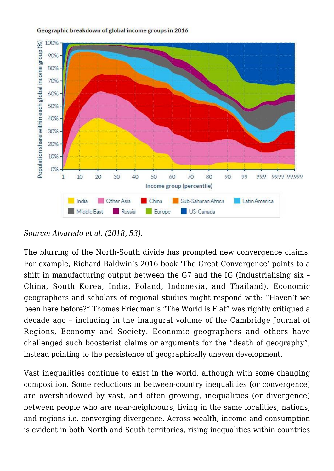

#### Geographic breakdown of global income groups in 2016

*Source: Alvaredo et al. (2018, 53).*

The blurring of the North-South divide has prompted new convergence claims. For example, Richard Baldwin's 2016 book 'The Great Convergence' points to a shift in manufacturing output between the G7 and the IG (Industrialising six – China, South Korea, India, Poland, Indonesia, and Thailand). Economic geographers and scholars of regional studies might respond with: "Haven't we been here before?" Thomas Friedman's "The World is Flat" was rightly critiqued a decade ago – including in the inaugural volume of the [Cambridge Journal of](https://academic.oup.com/cjres) [Regions, Economy and Society](https://academic.oup.com/cjres). Economic geographers and others have challenged such boosterist claims or arguments for the "death of geography", instead pointing to the persistence of geographically uneven development.

Vast inequalities continue to exist in the world, although with some changing composition. Some reductions in between-country inequalities (or convergence) are overshadowed by vast, and often growing, inequalities (or divergence) between people who are near-neighbours, living in the same localities, nations, and regions i.e. converging divergence. Across wealth, income and consumption is evident in both North and South territories, rising inequalities within countries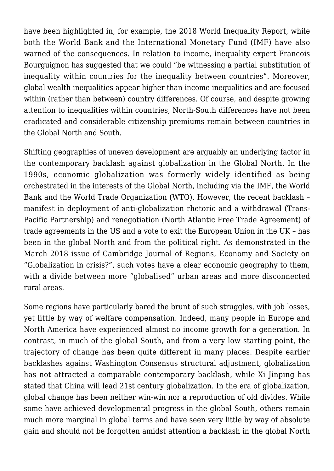have been highlighted in, for example, the 2018 World Inequality Report, while both the World Bank and the International Monetary Fund (IMF) have also warned of the consequences. In relation to income, inequality expert Francois Bourguignon has suggested that we could "be witnessing a partial substitution of inequality within countries for the inequality between countries". Moreover, global wealth inequalities appear higher than income inequalities and are focused within (rather than between) country differences. Of course, and despite growing attention to inequalities within countries, North-South differences have not been eradicated and considerable citizenship premiums remain between countries in the Global North and South.

Shifting geographies of uneven development are arguably an underlying factor in the contemporary backlash against globalization in the Global North. In the 1990s, economic globalization was formerly widely identified as being orchestrated in the interests of the Global North, including via the IMF, the World Bank and the World Trade Organization (WTO). However, the recent backlash – manifest in deployment of anti-globalization rhetoric and a withdrawal (Trans-Pacific Partnership) and renegotiation (North Atlantic Free Trade Agreement) of trade agreements in the US and a vote to exit the European Union in the UK – has been in the global North and from the political right. As demonstrated in the March 2018 issue of Cambridge Journal of Regions, Economy and Society on "Globalization in crisis?", such votes have a clear economic geography to them, with a divide between more "globalised" urban areas and more disconnected rural areas.

Some regions have particularly bared the brunt of such struggles, with job losses, yet little by way of welfare compensation. Indeed, many people in Europe and North America have experienced almost no income growth for a generation. In contrast, in much of the global South, and from a very low starting point, the trajectory of change has been quite different in many places. Despite earlier backlashes against Washington Consensus structural adjustment, globalization has not attracted a comparable contemporary backlash, while Xi Jinping has stated that China will lead 21st century globalization. In the era of globalization, global change has been neither win-win nor a reproduction of old divides. While some have achieved developmental progress in the global South, others remain much more marginal in global terms and have seen very little by way of absolute gain and should not be forgotten amidst attention a backlash in the global North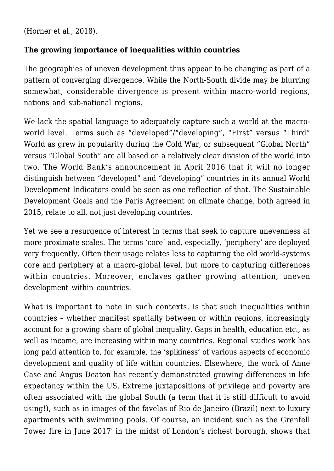[\(Horner et al., 2018](https://doi.org/10.1093/cjres/rsx026)).

#### **The growing importance of inequalities within countries**

The geographies of uneven development thus appear to be changing as part of a pattern of converging divergence. While the North-South divide may be blurring somewhat, considerable divergence is present within macro-world regions, nations and sub-national regions.

We lack the spatial language to adequately capture such a world at the macroworld level. Terms such as "developed"/"developing", "First" versus "Third" World as grew in popularity during the Cold War, or subsequent "Global North" versus "Global South" are all based on a relatively clear division of the world into two. The World Bank's announcement in April 2016 that it will no longer distinguish between "developed" and "developing" countries in its annual World Development Indicators could be seen as one reflection of that. The [Sustainable](http://www.un.org/sustainabledevelopment/sustainable-development-goals/) [Development Goals](http://www.un.org/sustainabledevelopment/sustainable-development-goals/) and the [Paris Agreement](http://unfccc.int/paris_agreement/items/9485.php) on climate change, both agreed in 2015, relate to all, not just developing countries.

Yet we see a resurgence of interest in terms that seek to capture unevenness at more proximate scales. The terms 'core' and, especially, 'periphery' are deployed very frequently. Often their usage relates less to capturing the old world-systems core and periphery at a macro-global level, but more to capturing differences within countries. Moreover, enclaves gather growing attention, uneven development within countries.

What is important to note in such contexts, is that such inequalities within countries – whether manifest spatially between or within regions, increasingly account for a growing share of global inequality. Gaps in health, education etc., as well as income, are increasing within many countries. Regional studies work has long paid attention to, for example, the 'spikiness' of various aspects of economic development and quality of life within countries. Elsewhere, the work of Anne Case and Angus Deaton has recently demonstrated growing differences in life expectancy within the US. Extreme juxtapositions of privilege and poverty are often associated with the global South (a term that it is still difficult to avoid using!), such as in images of the favelas of Rio de Janeiro (Brazil) next to luxury apartments with swimming pools. Of course, an incident such as the Grenfell Tower fire in June 2017′ in the midst of London's richest borough, shows that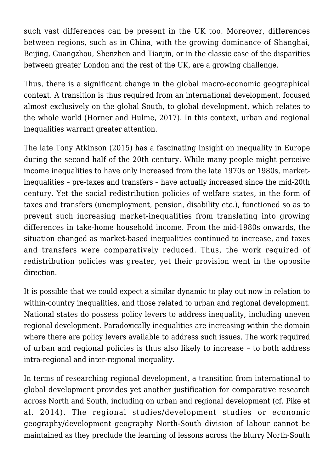such vast differences can be present in the UK too. Moreover, differences between regions, such as in China, with the growing dominance of Shanghai, Beijing, Guangzhou, Shenzhen and Tianjin, or in the classic case of the disparities between greater London and the rest of the UK, are a growing challenge.

Thus, there is a significant change in the global macro-economic geographical context. A transition is thus required from an international development, focused almost exclusively on the global South, to global development, which relates to the whole world [\(Horner and Hulme, 2017\)](https://doi.org/10.1111/dech.12379). In this context, urban and regional inequalities warrant greater attention.

The late Tony Atkinson (2015) has a fascinating insight on inequality in Europe during the second half of the 20th century. While many people might perceive income inequalities to have only increased from the late 1970s or 1980s, marketinequalities – pre-taxes and transfers – have actually increased since the mid-20th century. Yet the social redistribution policies of welfare states, in the form of taxes and transfers (unemployment, pension, disability etc.), functioned so as to prevent such increasing market-inequalities from translating into growing differences in take-home household income. From the mid-1980s onwards, the situation changed as market-based inequalities continued to increase, and taxes and transfers were comparatively reduced. Thus, the work required of redistribution policies was greater, yet their provision went in the opposite direction.

It is possible that we could expect a similar dynamic to play out now in relation to within-country inequalities, and those related to urban and regional development. National states do possess policy levers to address inequality, including uneven regional development. Paradoxically inequalities are increasing within the domain where there are policy levers available to address such issues. The work required of urban and regional policies is thus also likely to increase – to both address intra-regional and inter-regional inequality.

In terms of researching regional development, a transition from international to global development provides yet another justification for comparative research across North and South, including on urban and regional development (cf. [Pike et](https://doi.org/10.1177/1464993413504346) [al. 2014](https://doi.org/10.1177/1464993413504346)). The regional studies/development studies or economic geography/development geography North-South division of labour cannot be maintained as they preclude the learning of lessons across the blurry North-South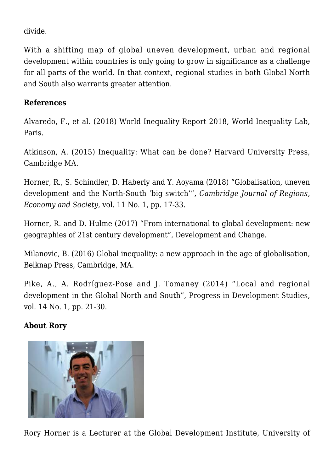divide.

With a shifting map of global uneven development, urban and regional development within countries is only going to grow in significance as a challenge for all parts of the world. In that context, regional studies in both Global North and South also warrants greater attention.

#### **References**

[Alvaredo, F., et al. \(2018\) World Inequality Report 2018, World Inequality Lab,](http://wir2018.wid.world/files/download/wir2018-full-report-english.pdf) [Paris.](http://wir2018.wid.world/files/download/wir2018-full-report-english.pdf)

[Atkinson, A. \(2015\) Inequality: What can be done? Harvard University Press,](http://www.hup.harvard.edu/catalog.php?isbn=9780674504769) [Cambridge MA.](http://www.hup.harvard.edu/catalog.php?isbn=9780674504769)

[Horner, R., S. Schindler, D. Haberly and Y. Aoyama \(2018\) "Globalisation, uneven](https://doi.org/10.1093/cjres/rsx026) [development and the North-South 'big switch'",](https://doi.org/10.1093/cjres/rsx026) *[Cambridge Journal of Regions,](https://doi.org/10.1093/cjres/rsx026) [Economy and Society](https://doi.org/10.1093/cjres/rsx026)*[, vol. 11 No. 1, pp. 17-33.](https://doi.org/10.1093/cjres/rsx026)

[Horner, R. and D. Hulme \(2017\) "From international to global development: new](https://doi.org/10.1111/dech.12379) [geographies of 21st century development", Development and Change.](https://doi.org/10.1111/dech.12379)

Milanovic, B. (2016) Global inequality: a new approach in the age of globalisation. [Belknap Press, Cambridge, MA.](http://www.hup.harvard.edu/catalog.php?isbn=9780674737136)

[Pike, A., A. Rodríguez-Pose and J. Tomaney \(2014\) "Local and regional](https://doi.org/10.1177/1464993413504346) [development in the Global North and South", Progress in Development Studies,](https://doi.org/10.1177/1464993413504346) [vol. 14 No. 1, pp. 21-30.](https://doi.org/10.1177/1464993413504346)

#### **About Rory**



Rory Horner is a Lecturer at the Global Development Institute, University of